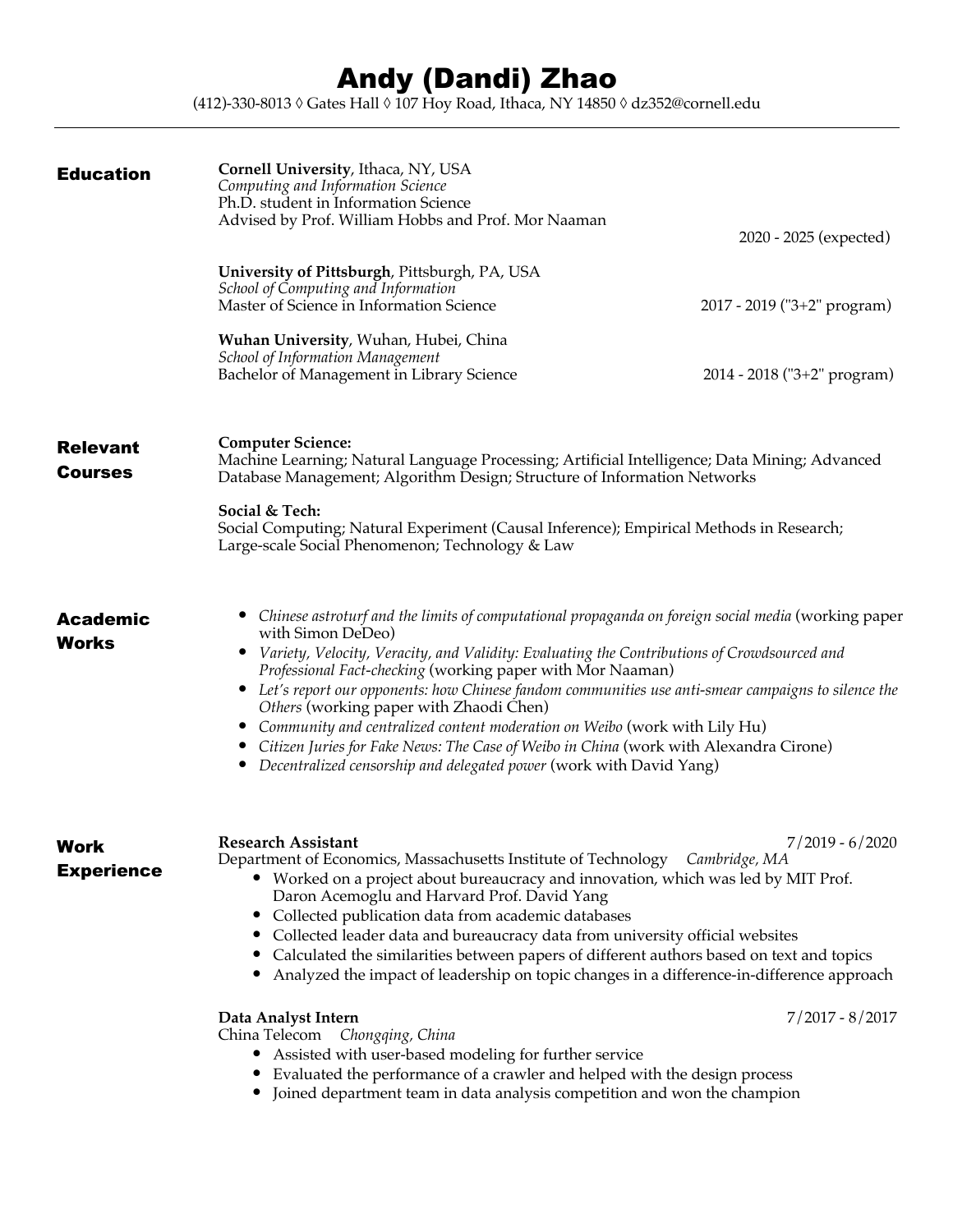## Andy (Dandi) Zhao

(412)-330-8013 ◊ Gates Hall ◊ 107 Hoy Road, Ithaca, NY 14850 ◊ dz352@cornell.edu

| <b>Education</b>                  | Cornell University, Ithaca, NY, USA<br>Computing and Information Science<br>Ph.D. student in Information Science<br>Advised by Prof. William Hobbs and Prof. Mor Naaman                                                                                                                                                                                                                                                                                                                                                                                                                                                                                                                            | 2020 - 2025 (expected)      |
|-----------------------------------|----------------------------------------------------------------------------------------------------------------------------------------------------------------------------------------------------------------------------------------------------------------------------------------------------------------------------------------------------------------------------------------------------------------------------------------------------------------------------------------------------------------------------------------------------------------------------------------------------------------------------------------------------------------------------------------------------|-----------------------------|
|                                   | University of Pittsburgh, Pittsburgh, PA, USA<br>School of Computing and Information<br>Master of Science in Information Science                                                                                                                                                                                                                                                                                                                                                                                                                                                                                                                                                                   | 2017 - 2019 ("3+2" program) |
|                                   | Wuhan University, Wuhan, Hubei, China<br><b>School of Information Management</b><br>Bachelor of Management in Library Science                                                                                                                                                                                                                                                                                                                                                                                                                                                                                                                                                                      | 2014 - 2018 ("3+2" program) |
| <b>Relevant</b><br><b>Courses</b> | <b>Computer Science:</b><br>Machine Learning; Natural Language Processing; Artificial Intelligence; Data Mining; Advanced<br>Database Management; Algorithm Design; Structure of Information Networks<br>Social & Tech:<br>Social Computing; Natural Experiment (Causal Inference); Empirical Methods in Research;<br>Large-scale Social Phenomenon; Technology & Law                                                                                                                                                                                                                                                                                                                              |                             |
| <b>Academic</b><br><b>Works</b>   | Chinese astroturf and the limits of computational propaganda on foreign social media (working paper<br>with Simon DeDeo)<br>Variety, Velocity, Veracity, and Validity: Evaluating the Contributions of Crowdsourced and<br>Professional Fact-checking (working paper with Mor Naaman)<br>• Let's report our opponents: how Chinese fandom communities use anti-smear campaigns to silence the<br>Others (working paper with Zhaodi Chen)<br>Community and centralized content moderation on Weibo (work with Lily Hu)<br>$\bullet$<br>Citizen Juries for Fake News: The Case of Weibo in China (work with Alexandra Cirone)<br>Decentralized censorship and delegated power (work with David Yang) |                             |
| <b>Work</b><br><b>Experience</b>  | <b>Research Assistant</b><br>Department of Economics, Massachusetts Institute of Technology Cambridge, MA<br>Worked on a project about bureaucracy and innovation, which was led by MIT Prof.<br>Daron Acemoglu and Harvard Prof. David Yang<br>• Collected publication data from academic databases<br>Collected leader data and bureaucracy data from university official websites<br>Calculated the similarities between papers of different authors based on text and topics<br>$\bullet$<br>Analyzed the impact of leadership on topic changes in a difference-in-difference approach                                                                                                         | $7/2019 - 6/2020$           |
|                                   | Data Analyst Intern<br>China Telecom Chongqing, China<br>Assisted with user-based modeling for further service<br>Evaluated the performance of a crawler and helped with the design process<br>Joined department team in data analysis competition and won the champion<br>$\bullet$                                                                                                                                                                                                                                                                                                                                                                                                               | $7/2017 - 8/2017$           |